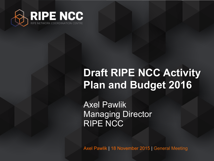

# **Draft RIPE NCC Activity Plan and Budget 2016**

Axel Pawlik Managing Director RIPE NCC

Axel Pawlik | 18 November 2015 | General Meeting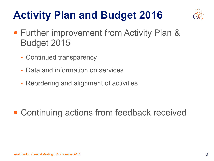# **Activity Plan and Budget 2016**



- Further improvement from Activity Plan & Budget 2015
	- Continued transparency
	- Data and information on services
	- Reordering and alignment of activities

• Continuing actions from feedback received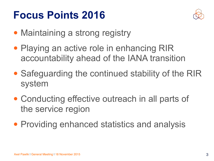### **Focus Points 2016**



- Maintaining a strong registry
- Playing an active role in enhancing RIR accountability ahead of the IANA transition
- Safeguarding the continued stability of the RIR system
- Conducting effective outreach in all parts of the service region
- Providing enhanced statistics and analysis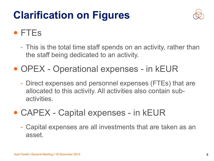# **Clarification on Figures**



#### • FTEs

- This is the total time staff spends on an activity, rather than the staff being dedicated to an activity.
- OPEX Operational expenses in kEUR
	- Direct expenses and personnel expenses (FTEs) that are allocated to this activity. All activities also contain subactivities.
- CAPEX Capital expenses in kEUR
	- Capital expenses are all investments that are taken as an asset.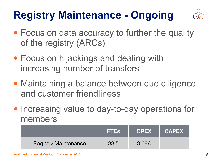# **Registry Maintenance - Ongoing**



- Focus on data accuracy to further the quality of the registry (ARCs)
- Focus on hijackings and dealing with increasing number of transfers
- Maintaining a balance between due diligence and customer friendliness
- Increasing value to day-to-day operations for members

|                             | <b>FTES</b> | <b>OPEX</b> | <b>CAPEX</b> |
|-----------------------------|-------------|-------------|--------------|
| <b>Registry Maintenance</b> | 33.5        | 3,096       | $\sim$       |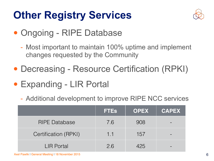# **Other Registry Services**



- Ongoing RIPE Database
	- Most important to maintain 100% uptime and implement changes requested by the Community
- Decreasing Resource Certification (RPKI)
- Expanding LIR Portal
	- Additional development to improve RIPE NCC services

|                      | <b>FTEs</b> | <b>OPEX</b> | <b>CAPEX</b> |
|----------------------|-------------|-------------|--------------|
| <b>RIPE Database</b> | 7.6         | 908         |              |
| Certification (RPKI) | 1.1         | 157         |              |
| <b>LIR Portal</b>    | 2.6         | 425         |              |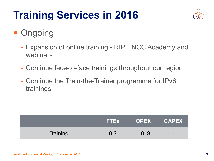# **Training Services in 2016**



- Ongoing
	- Expansion of online training RIPE NCC Academy and webinars
	- Continue face-to-face trainings throughout our region
	- Continue the Train-the-Trainer programme for IPv6 trainings

|          | <b>FTES</b> | OPEX CAPEX |        |
|----------|-------------|------------|--------|
| Training |             | 1,019      | $\sim$ |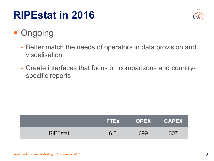# **RIPEstat in 2016**



#### • Ongoing

- Better match the needs of operators in data provision and visualisation
- Create interfaces that focus on comparisons and countryspecific reports

|                 | <b>TES</b> |     | OPEX   CAPEX |
|-----------------|------------|-----|--------------|
| <b>RIPEstat</b> | 6.5        | 699 | 307          |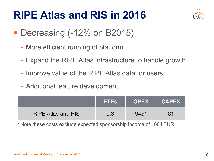## **RIPE Atlas and RIS in 2016**



- Decreasing (-12% on B2015)
	- More efficient running of platform
	- Expand the RIPE Atlas infrastructure to handle growth
	- Improve value of the RIPE Atlas data for users
	- Additional feature development

|                           | <b>IFTES</b> |        | OPEX CAPEX |
|---------------------------|--------------|--------|------------|
| <b>RIPE Atlas and RIS</b> | 9.3          | Q A ?* |            |

\* Note these costs exclude expected sponsorship income of 160 kEUR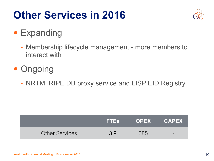# **Other Services in 2016**



#### • Expanding

- Membership lifecycle management more members to interact with
- Ongoing
	- NRTM, RIPE DB proxy service and LISP EID Registry

|                       | <b>FTES</b> | <b>OPEX</b> | <b>CAPEX</b>    |
|-----------------------|-------------|-------------|-----------------|
| <b>Other Services</b> |             |             | <b>Property</b> |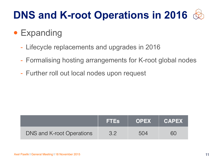# **DNS and K-root Operations in 2016**

#### • Expanding

- Lifecycle replacements and upgrades in 2016
- Formalising hosting arrangements for K-root global nodes
- Further roll out local nodes upon request

|                                  | <b>FTES</b>   | OPEX CAPEX |  |
|----------------------------------|---------------|------------|--|
| <b>DNS and K-root Operations</b> | $\mathcal{L}$ | 504        |  |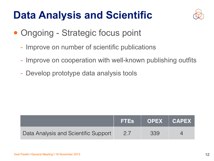# **Data Analysis and Scientific**



- Ongoing Strategic focus point
	- Improve on number of scientific publications
	- Improve on cooperation with well-known publishing outfits
	- Develop prototype data analysis tools

|                                      | FTEs   OPEX   CAPEX |  |
|--------------------------------------|---------------------|--|
| Data Analysis and Scientific Support | 339                 |  |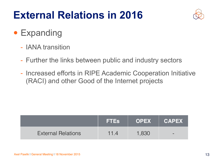# **External Relations in 2016**



- Expanding
	- IANA transition
	- Further the links between public and industry sectors
	- Increased efforts in RIPE Academic Cooperation Initiative (RACI) and other Good of the Internet projects

|                           | <b>FTES</b> | <b>OPEX</b> | <b>CAPEX</b> |
|---------------------------|-------------|-------------|--------------|
| <b>External Relations</b> |             | 1,830       | $\sim$       |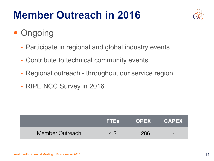# **Member Outreach in 2016**



- Ongoing
	- Participate in regional and global industry events
	- Contribute to technical community events
	- Regional outreach throughout our service region
	- RIPE NCC Survey in 2016

|                 | <b>FTES</b> | OPEX CAPEX |        |
|-----------------|-------------|------------|--------|
| Member Outreach |             | 1.286      | $\sim$ |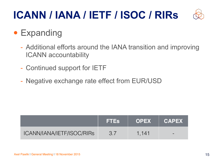# **ICANN / IANA / IETF / ISOC / RIRs**



#### • Expanding

- Additional efforts around the IANA transition and improving ICANN accountability
- Continued support for IETF
- Negative exchange rate effect from EUR/USD

|                           | <b>FTES</b> | <b>OPEX</b> | <b>CAPEX</b> |
|---------------------------|-------------|-------------|--------------|
| ICANN/IANA/IETF/ISOC/RIRS |             | 1.141       | $\sim$       |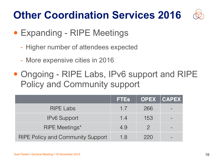# **Other Coordination Services 2016**

- Expanding RIPE Meetings
	- Higher number of attendees expected
	- More expensive cities in 2016
- Ongoing RIPE Labs, IPv6 support and RIPE Policy and Community support

|                                          | <b>FTES</b> |               | <b>OPEX CAPEX</b> |
|------------------------------------------|-------------|---------------|-------------------|
| <b>RIPE Labs</b>                         | 1.7         | 266           |                   |
| <b>IPv6 Support</b>                      | 1.4         | 153           |                   |
| <b>RIPE Meetings*</b>                    | 4.9         | $\mathcal{P}$ |                   |
| <b>RIPE Policy and Community Support</b> | 1.8         | 220           |                   |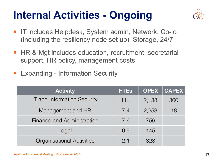# **Internal Activities - Ongoing**



- IT includes Helpdesk, System admin, Network, Co-lo (including the resiliency node set up), Storage, 24/7
- HR & Mgt includes education, recruitment, secretarial support, HR policy, management costs
- **Expanding Information Security**

| <b>Activity</b>                    | <b>FTEs</b> | <b>OPEX</b> | CAPEX |
|------------------------------------|-------------|-------------|-------|
| <b>IT and Information Security</b> | 11.1        | 2,138       | 360   |
| Management and HR                  | 7.4         | 2,253       | 18    |
| Finance and Administration         | 7.6         | 756         |       |
| Legal                              | 0.9         | 145         |       |
| <b>Organisational Activities</b>   | 2.1         | 323         |       |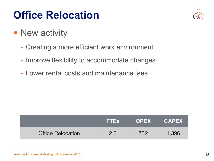# **Office Relocation**



- New activity
	- Creating a more efficient work environment
	- Improve flexibility to accommodate changes
	- Lower rental costs and maintenance fees

|                          | <b>FTES</b> |     | OPEX   CAPEX |
|--------------------------|-------------|-----|--------------|
| <b>Office Relocation</b> | 26          | フマク | 1,396        |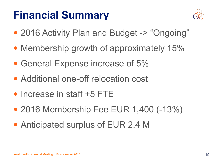# **Financial Summary**



- 2016 Activity Plan and Budget -> "Ongoing"
- Membership growth of approximately 15%
- General Expense increase of 5%
- Additional one-off relocation cost
- Increase in staff +5 FTE
- 2016 Membership Fee EUR 1,400 (-13%)
- Anticipated surplus of EUR 2.4 M